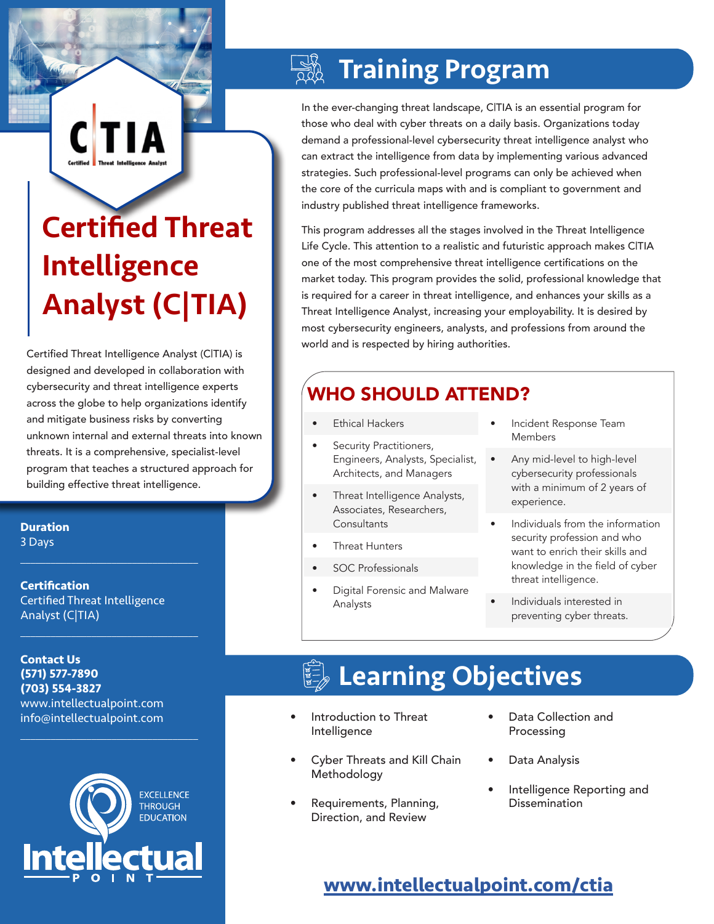# Certified Threat Intelligence Analyst (C|TIA)

**CTIA** 

Certified Threat Intelligence Analyst (C|TIA) is designed and developed in collaboration with cybersecurity and threat intelligence experts across the globe to help organizations identify and mitigate business risks by converting unknown internal and external threats into known threats. It is a comprehensive, specialist-level program that teaches a structured approach for building effective threat intelligence.

**Duration** 3 Days

**Certification** Certified Threat Intelligence Analyst (C|TIA)

 $\mathcal{L}_\text{max}$  , and the set of the set of the set of the set of the set of the set of the set of the set of the set of the set of the set of the set of the set of the set of the set of the set of the set of the set of the

 $\mathcal{L}_\text{max}$  , and the set of the set of the set of the set of the set of the set of the set of the set of the set of the set of the set of the set of the set of the set of the set of the set of the set of the set of the

 $\mathcal{L}_\text{max}$  and  $\mathcal{L}_\text{max}$  and  $\mathcal{L}_\text{max}$  and  $\mathcal{L}_\text{max}$ 

#### **Contact Us (571) 577-7890 (703) 554-3827** www.intellectualpoint.com info@intellectualpoint.com



## Training Program

In the ever-changing threat landscape, C|TIA is an essential program for those who deal with cyber threats on a daily basis. Organizations today demand a professional-level cybersecurity threat intelligence analyst who can extract the intelligence from data by implementing various advanced strategies. Such professional-level programs can only be achieved when the core of the curricula maps with and is compliant to government and industry published threat intelligence frameworks.

This program addresses all the stages involved in the Threat Intelligence Life Cycle. This attention to a realistic and futuristic approach makes C|TIA one of the most comprehensive threat intelligence certifications on the market today. This program provides the solid, professional knowledge that is required for a career in threat intelligence, and enhances your skills as a Threat Intelligence Analyst, increasing your employability. It is desired by most cybersecurity engineers, analysts, and professions from around the world and is respected by hiring authorities.

## WHO SHOULD ATTEND?

- **Ethical Hackers**
- Security Practitioners, Engineers, Analysts, Specialist, Architects, and Managers
- Threat Intelligence Analysts, Associates, Researchers, **Consultants**
- **Threat Hunters**
- SOC Professionals
- Digital Forensic and Malware Analysts
- Incident Response Team Members
- Any mid-level to high-level cybersecurity professionals with a minimum of 2 years of experience.
- Individuals from the information security profession and who want to enrich their skills and knowledge in the field of cyber threat intelligence.
- Individuals interested in preventing cyber threats.

## **Learning Objectives**

- Introduction to Threat Intelligence
- Cyber Threats and Kill Chain Methodology
- Requirements, Planning, Direction, and Review
- Data Collection and Processing
- Data Analysis
- Intelligence Reporting and **Dissemination**

### **[www.intellectualpoint.com/c](https://www.intellectualpoint.com/product/certified-threat-intelligence-analyst/)tia**